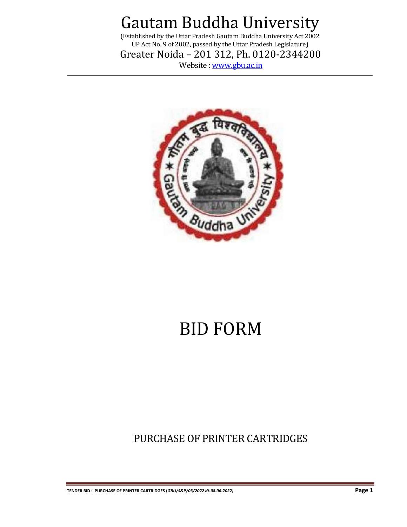(Established by the Uttar Pradesh Gautam Buddha University Act 2002 UP Act No. 9 of 2002, passed by the Uttar Pradesh Legislature)

Greater Noida – 201 312, Ph. 0120-2344200

Website [: www.gbu.ac.in](http://www.gbu.ac.in/)



# BID FORM

PURCHASE OF PRINTER CARTRIDGES

**TENDER BID : PURCHASE OF PRINTER CARTRIDGES (***GBU/S&P/03/2022 dt.08.06.2022)* **Page 1**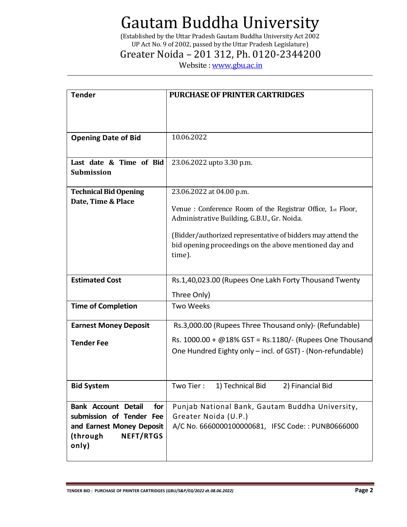(Established by the Uttar Pradesh Gautam Buddha University Act 2002 UP Act No. 9 of 2002, passed by the Uttar Pradesh Legislature)

### Greater Noida – 201 312, Ph. 0120-2344200

Website [: www.gbu.ac.in](http://www.gbu.ac.in/)

| <b>Tender</b>                                             | <b>PURCHASE OF PRINTER CARTRIDGES</b>                                                                                     |  |  |
|-----------------------------------------------------------|---------------------------------------------------------------------------------------------------------------------------|--|--|
|                                                           |                                                                                                                           |  |  |
|                                                           |                                                                                                                           |  |  |
| <b>Opening Date of Bid</b>                                | 10.06.2022                                                                                                                |  |  |
|                                                           |                                                                                                                           |  |  |
| Last date & Time of Bid                                   | 23.06.2022 upto 3.30 p.m.                                                                                                 |  |  |
| <b>Submission</b>                                         |                                                                                                                           |  |  |
|                                                           |                                                                                                                           |  |  |
| <b>Technical Bid Opening</b><br>Date, Time & Place        | 23.06.2022 at 04.00 p.m.                                                                                                  |  |  |
|                                                           | Venue : Conference Room of the Registrar Office, 1st Floor,                                                               |  |  |
|                                                           | Administrative Building, G.B.U., Gr. Noida.                                                                               |  |  |
|                                                           | (Bidder/authorized representative of bidders may attend the                                                               |  |  |
|                                                           | bid opening proceedings on the above mentioned day and                                                                    |  |  |
|                                                           | time).                                                                                                                    |  |  |
|                                                           |                                                                                                                           |  |  |
| <b>Estimated Cost</b>                                     | Rs.1,40,023.00 (Rupees One Lakh Forty Thousand Twenty                                                                     |  |  |
|                                                           | Three Only)                                                                                                               |  |  |
| <b>Time of Completion</b>                                 | <b>Two Weeks</b>                                                                                                          |  |  |
| <b>Earnest Money Deposit</b>                              | Rs.3,000.00 (Rupees Three Thousand only)- (Refundable)                                                                    |  |  |
|                                                           |                                                                                                                           |  |  |
| <b>Tender Fee</b>                                         | Rs. $1000.00 + @18\% GST = Rs.1180/$ - (Rupees One Thousand<br>One Hundred Eighty only - incl. of GST) - (Non-refundable) |  |  |
|                                                           |                                                                                                                           |  |  |
|                                                           |                                                                                                                           |  |  |
| <b>Bid System</b>                                         | Two Tier: 1) Technical Bid<br>2) Financial Bid                                                                            |  |  |
|                                                           |                                                                                                                           |  |  |
| <b>Bank Account Detail</b><br>for                         | Punjab National Bank, Gautam Buddha University,                                                                           |  |  |
| submission of Tender Fee                                  | Greater Noida (U.P.)                                                                                                      |  |  |
| and Earnest Money Deposit<br><b>NEFT/RTGS</b><br>(through | A/C No. 6660000100000681, IFSC Code:: PUNB0666000                                                                         |  |  |
| only)                                                     |                                                                                                                           |  |  |
|                                                           |                                                                                                                           |  |  |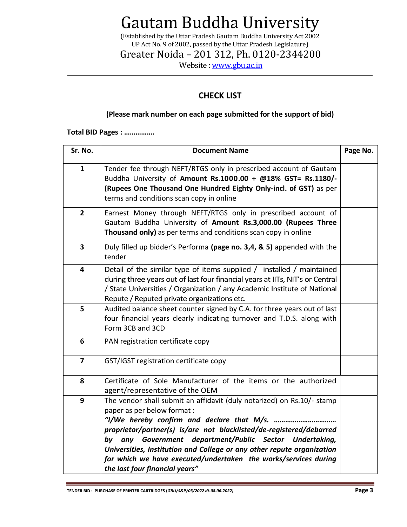(Established by the Uttar Pradesh Gautam Buddha University Act 2002 UP Act No. 9 of 2002, passed by the Uttar Pradesh Legislature)

Greater Noida – 201 312, Ph. 0120-2344200

Website [: www.gbu.ac.in](http://www.gbu.ac.in/)

#### **CHECK LIST**

#### **(Please mark number on each page submitted for the support of bid)**

**Total BID Pages : …………….**

| Sr. No.                 | <b>Document Name</b>                                                                                                                                                                                                                                                                                                                                                                                                      |  |  |
|-------------------------|---------------------------------------------------------------------------------------------------------------------------------------------------------------------------------------------------------------------------------------------------------------------------------------------------------------------------------------------------------------------------------------------------------------------------|--|--|
| $\mathbf{1}$            | Tender fee through NEFT/RTGS only in prescribed account of Gautam<br>Buddha University of Amount Rs.1000.00 + @18% GST= Rs.1180/-<br>(Rupees One Thousand One Hundred Eighty Only-incl. of GST) as per<br>terms and conditions scan copy in online                                                                                                                                                                        |  |  |
| $\overline{2}$          | Earnest Money through NEFT/RTGS only in prescribed account of<br>Gautam Buddha University of Amount Rs.3,000.00 (Rupees Three<br>Thousand only) as per terms and conditions scan copy in online                                                                                                                                                                                                                           |  |  |
| $\overline{\mathbf{3}}$ | Duly filled up bidder's Performa (page no. 3,4, & 5) appended with the<br>tender                                                                                                                                                                                                                                                                                                                                          |  |  |
| $\overline{\mathbf{4}}$ | Detail of the similar type of items supplied / installed / maintained<br>during three years out of last four financial years at IITs, NIT's or Central<br>/ State Universities / Organization / any Academic Institute of National<br>Repute / Reputed private organizations etc.                                                                                                                                         |  |  |
| 5                       | Audited balance sheet counter signed by C.A. for three years out of last<br>four financial years clearly indicating turnover and T.D.S. along with<br>Form 3CB and 3CD                                                                                                                                                                                                                                                    |  |  |
| 6                       | PAN registration certificate copy                                                                                                                                                                                                                                                                                                                                                                                         |  |  |
| $\overline{\mathbf{z}}$ | GST/IGST registration certificate copy                                                                                                                                                                                                                                                                                                                                                                                    |  |  |
| 8                       | Certificate of Sole Manufacturer of the items or the authorized<br>agent/representative of the OEM                                                                                                                                                                                                                                                                                                                        |  |  |
| 9                       | The vendor shall submit an affidavit (duly notarized) on Rs.10/- stamp<br>paper as per below format :<br>proprietor/partner(s) is/are not blacklisted/de-registered/debarred<br>any Government department/Public Sector Undertaking,<br>by<br>Universities, Institution and College or any other repute organization<br>for which we have executed/undertaken the works/services during<br>the last four financial years" |  |  |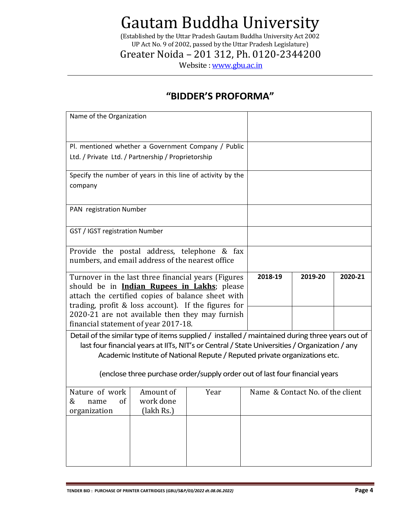(Established by the Uttar Pradesh Gautam Buddha University Act 2002 UP Act No. 9 of 2002, passed by the Uttar Pradesh Legislature)

Greater Noida – 201 312, Ph. 0120-2344200

Website [: www.gbu.ac.in](http://www.gbu.ac.in/)

### **"BIDDER'S PROFORMA"**

| Turnover in the last three financial years (Figures<br>should be in <b>Indian Rupees in Lakhs</b> ; please<br>attach the certified copies of balance sheet with |                                                                                       | 2018-19                                                                                                                                        | 2019-20                                                                                                                                                                                                                                                                     | 2020-21                                                                                                                                                                                                                                                                                                                                                                                           |
|-----------------------------------------------------------------------------------------------------------------------------------------------------------------|---------------------------------------------------------------------------------------|------------------------------------------------------------------------------------------------------------------------------------------------|-----------------------------------------------------------------------------------------------------------------------------------------------------------------------------------------------------------------------------------------------------------------------------|---------------------------------------------------------------------------------------------------------------------------------------------------------------------------------------------------------------------------------------------------------------------------------------------------------------------------------------------------------------------------------------------------|
|                                                                                                                                                                 |                                                                                       |                                                                                                                                                |                                                                                                                                                                                                                                                                             |                                                                                                                                                                                                                                                                                                                                                                                                   |
|                                                                                                                                                                 |                                                                                       |                                                                                                                                                |                                                                                                                                                                                                                                                                             |                                                                                                                                                                                                                                                                                                                                                                                                   |
|                                                                                                                                                                 |                                                                                       |                                                                                                                                                |                                                                                                                                                                                                                                                                             |                                                                                                                                                                                                                                                                                                                                                                                                   |
| Amount of<br>work done<br>(lakh Rs.)                                                                                                                            | Year                                                                                  |                                                                                                                                                |                                                                                                                                                                                                                                                                             |                                                                                                                                                                                                                                                                                                                                                                                                   |
|                                                                                                                                                                 |                                                                                       |                                                                                                                                                |                                                                                                                                                                                                                                                                             |                                                                                                                                                                                                                                                                                                                                                                                                   |
|                                                                                                                                                                 | Name of the Organization<br>PAN registration Number<br>GST / IGST registration Number | Ltd. / Private Ltd. / Partnership / Proprietorship<br>numbers, and email address of the nearest office<br>financial statement of year 2017-18. | Pl. mentioned whether a Government Company / Public<br>Specify the number of years in this line of activity by the<br>Provide the postal address, telephone & fax<br>trading, profit & loss account). If the figures for<br>2020-21 are not available then they may furnish | Detail of the similar type of items supplied / installed / maintained during three years out of<br>last four financial years at IITs, NIT's or Central / State Universities / Organization / any<br>Academic Institute of National Repute / Reputed private organizations etc.<br>(enclose three purchase order/supply order out of last four financial years<br>Name & Contact No. of the client |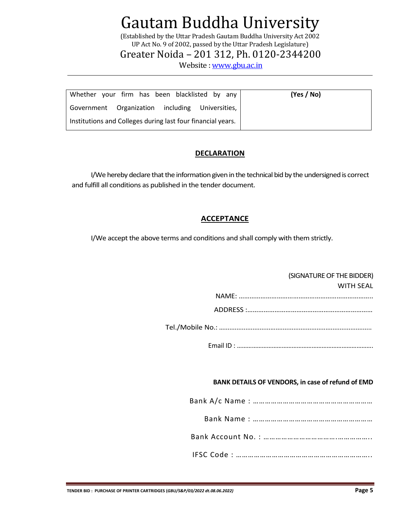(Established by the Uttar Pradesh Gautam Buddha University Act 2002 UP Act No. 9 of 2002, passed by the Uttar Pradesh Legislature)

Greater Noida – 201 312, Ph. 0120-2344200

Website [: www.gbu.ac.in](http://www.gbu.ac.in/)

| Whether your firm has been blacklisted by any               | (Yes / No) |
|-------------------------------------------------------------|------------|
| Government Organization including Universities,             |            |
| Institutions and Colleges during last four financial years. |            |

#### **DECLARATION**

I/We hereby declare that the information given in the technical bid by the undersigned is correct and fulfill all conditions as published in the tender document.

#### **ACCEPTANCE**

I/We accept the above terms and conditions and shall comply with them strictly.

#### (SIGNATURE OF THE BIDDER)

|  | <b>WITH SFAL</b> |
|--|------------------|
|  |                  |
|  |                  |
|  |                  |

Tel./Mobile No.: …...................................................................................

Email ID : ……………………………………………………………………….

#### **BANK DETAILS OF VENDORS, in case of refund of EMD**

Bank A/c Name : ……………………………………………………

Bank Name : ……………………………………………………

Bank Account No. : ……………………………….……………..

IFSC Code : …………………………………………………………..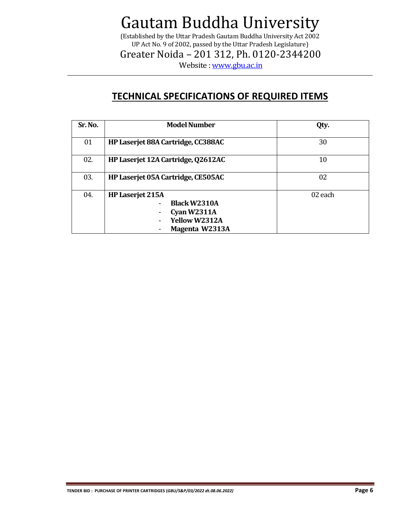(Established by the Uttar Pradesh Gautam Buddha University Act 2002 UP Act No. 9 of 2002, passed by the Uttar Pradesh Legislature)

Greater Noida – 201 312, Ph. 0120-2344200

Website [: www.gbu.ac.in](http://www.gbu.ac.in/)

### **TECHNICAL SPECIFICATIONS OF REQUIRED ITEMS**

| Sr. No. | <b>Model Number</b>                                                                                | Qty.    |
|---------|----------------------------------------------------------------------------------------------------|---------|
| 01      | HP Laserjet 88A Cartridge, CC388AC                                                                 | 30      |
| 02.     | HP Laserjet 12A Cartridge, Q2612AC                                                                 | 10      |
| 03.     | HP Laserjet 05A Cartridge, CE505AC                                                                 | 02      |
| 04.     | HP Laserjet 215A<br><b>Black W2310A</b><br>Cyan $W2311A$<br><b>Yellow W2312A</b><br>Magenta W2313A | 02 each |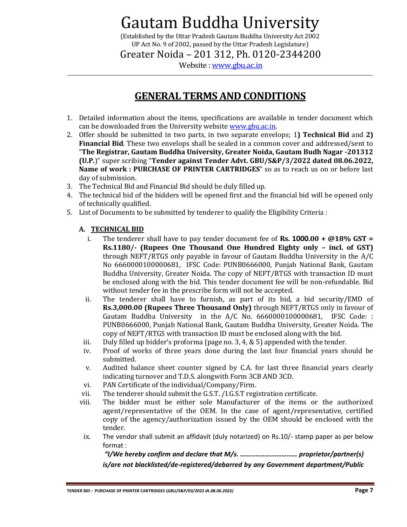(Established by the Uttar Pradesh Gautam Buddha University Act 2002 UP Act No. 9 of 2002, passed by the Uttar Pradesh Legislature)

Greater Noida – 201 312, Ph. 0120-2344200

Website [: www.gbu.ac.in](http://www.gbu.ac.in/)

### **GENERAL TERMS AND CONDITIONS**

- 1. Detailed information about the items, specifications are available in tender document which can be downloaded from the University websit[e www.gbu.ac.in.](http://www.gbu.ac.in/)
- 2. Offer should be submitted in two parts, in two separate envelops; 1**) Technical Bid** and **2) Financial Bid**. These two envelops shall be sealed in a common cover and addressed/sent to "**The Registrar, Gautam Buddha University, Greater Noida, Gautam Budh Nagar -201312 (U.P.**)" super scribing "**Tender against Tender Advt. GBU/S&P/3/2022 dated 08.06.2022, Name of work : PURCHASE OF PRINTER CARTRIDGES**" so as to reach us on or before last day of submission.
- 3. The Technical Bid and Financial Bid should be duly filled up.
- 4. The technical bid of the bidders will be opened first and the financial bid will be opened only of technically qualified.
- 5. List of Documents to be submitted by tenderer to qualify the Eligibility Criteria :

#### **A. TECHNICAL BID**

- i. The tenderer shall have to pay tender document fee of **Rs. 1000.00 + @18% GST = Rs.1180/- (Rupees One Thousand One Hundred Eighty only – incl. of GST)** through NEFT/RTGS only payable in favour of Gautam Buddha University in the A/C No 6660000100000681, IFSC Code: PUNB0666000, Punjab National Bank, Gautam Buddha University, Greater Noida. The copy of NEFT/RTGS with transaction ID must be enclosed along with the bid. This tender document fee will be non-refundable. Bid without tender fee in the prescribe form will not be accepted.
- ii. The tenderer shall have to furnish, as part of its bid, a bid security/EMD of **Rs.3,000.00 (Rupees Three Thousand Only)** through NEFT/RTGS only in favour of Gautam Buddha University in the A/C No. 6660000100000681, IFSC Code: : PUNB0666000, Punjab National Bank, Gautam Buddha University, Greater Noida. The copy of NEFT/RTGS with transaction ID must be enclosed along with the bid.
- iii. Duly filled up bidder's proforma (page no. 3, 4, & 5) appended with the tender.
- iv. Proof of works of three years done during the last four financial years should be submitted.
- v. Audited balance sheet counter signed by C.A. for last three financial years clearly indicating turnover and T.D.S. alongwith Form 3CB AND 3CD.
- vi. PAN Certificate of the individual/Company/Firm.
- vii. The tenderer should submit the G.S.T. /I.G.S.T registration certificate.
- viii. The bidder must be either sole Manufacturer of the items or the authorized agent/representative of the OEM. In the case of agent/representative, certified copy of the agency/authorization issued by the OEM should be enclosed with the tender.
- ix. The vendor shall submit an affidavit (duly notarized) on Rs.10/- stamp paper as per below format :

*"I/We hereby confirm and declare that M/s. …………………………… proprietor/partner(s) is/are not blacklisted/de-registered/debarred by any Government department/Public*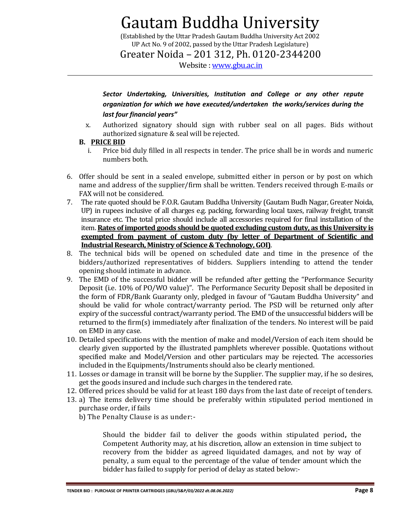(Established by the Uttar Pradesh Gautam Buddha University Act 2002 UP Act No. 9 of 2002, passed by the Uttar Pradesh Legislature)

Greater Noida – 201 312, Ph. 0120-2344200

Website [: www.gbu.ac.in](http://www.gbu.ac.in/)

*Sector Undertaking, Universities, Institution and College or any other repute organization for which we have executed/undertaken the works/services during the last four financial years"*

x. Authorized signatory should sign with rubber seal on all pages. Bids without authorized signature & seal will be rejected.

#### **B. PRICE BID**

- i. Price bid duly filled in all respects in tender. The price shall be in words and numeric numbers both.
- 6. Offer should be sent in a sealed envelope, submitted either in person or by post on which name and address of the supplier/firm shall be written. Tenders received through E-mails or FAX will not be considered.
- 7. The rate quoted should be F.O.R. Gautam Buddha University (Gautam Budh Nagar, Greater Noida, UP) in rupees inclusive of all charges e.g. packing, forwarding local taxes, railway freight, transit insurance etc. The total price should include all accessories required for final installation of the item. **Rates of imported goods should be quoted excluding custom duty, as this University is exempted from payment of custom duty (by letter of Department of Scientific and Industrial Research, Ministry of Science & Technology, GOI)**.
- 8. The technical bids will be opened on scheduled date and time in the presence of the bidders/authorized representatives of bidders. Suppliers intending to attend the tender opening should intimate in advance.
- 9. The EMD of the successful bidder will be refunded after getting the "Performance Security Deposit (i.e. 10% of PO/WO value)". The Performance Security Deposit shall be deposited in the form of FDR/Bank Guaranty only, pledged in favour of "Gautam Buddha University" and should be valid for whole contract/warranty period. The PSD will be returned only after expiry of the successful contract/warranty period. The EMD of the unsuccessful bidders will be returned to the firm(s) immediately after finalization of the tenders. No interest will be paid on EMD in any case.
- 10. Detailed specifications with the mention of make and model/Version of each item should be clearly given supported by the illustrated pamphlets wherever possible. Quotations without specified make and Model/Version and other particulars may be rejected. The accessories included in the Equipments/Instruments should also be clearly mentioned.
- 11. Losses or damage in transit will be borne by the Supplier. The supplier may, if he so desires, get the goods insured and include such charges in the tendered rate.
- 12. Offered prices should be valid for at least 180 days from the last date of receipt of tenders.
- 13. a) The items delivery time should be preferably within stipulated period mentioned in purchase order, if fails
	- b) The Penalty Clause is as under:-

Should the bidder fail to deliver the goods within stipulated period**,** the Competent Authority may, at his discretion, allow an extension in time subject to recovery from the bidder as agreed liquidated damages, and not by way of penalty, a sum equal to the percentage of the value of tender amount which the bidder has failed to supply for period of delay as stated below:-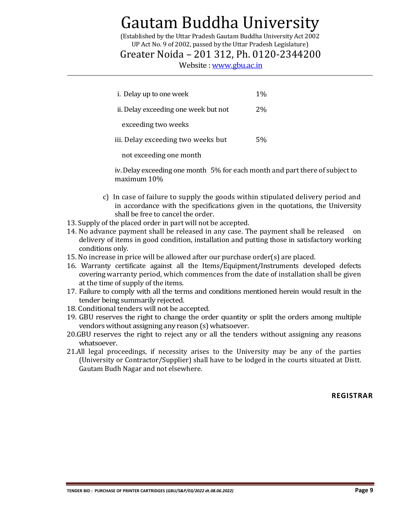(Established by the Uttar Pradesh Gautam Buddha University Act 2002 UP Act No. 9 of 2002, passed by the Uttar Pradesh Legislature)

### Greater Noida – 201 312, Ph. 0120-2344200

Website [: www.gbu.ac.in](http://www.gbu.ac.in/)

| i. Delay up to one week              | $1\%$ |
|--------------------------------------|-------|
| ii. Delay exceeding one week but not | $2\%$ |
| exceeding two weeks                  |       |
| iii. Delay exceeding two weeks but   | 5%    |
| not exceeding one month              |       |

iv. Delay exceeding one month 5% for each month and part there of subject to maximum 10%

- c) In case of failure to supply the goods within stipulated delivery period and in accordance with the specifications given in the quotations, the University shall be free to cancel the order.
- 13. Supply of the placed order in part will not be accepted.
- 14. No advance payment shall be released in any case. The payment shall be released on delivery of items in good condition, installation and putting those in satisfactory working conditions only.
- 15. No increase in price will be allowed after our purchase order(s) are placed.
- 16. Warranty certificate against all the Items/Equipment/Instruments developed defects covering warranty period, which commences from the date of installation shall be given at the time of supply of the items.
- 17. Failure to comply with all the terms and conditions mentioned herein would result in the tender being summarily rejected.
- 18. Conditional tenders will not be accepted.
- 19. GBU reserves the right to change the order quantity or split the orders among multiple vendors without assigning any reason (s) whatsoever.
- 20.GBU reserves the right to reject any or all the tenders without assigning any reasons whatsoever.
- 21.All legal proceedings, if necessity arises to the University may be any of the parties (University or Contractor/Supplier) shall have to be lodged in the courts situated at Distt. Gautam Budh Nagar and not elsewhere.

**REGISTRAR**